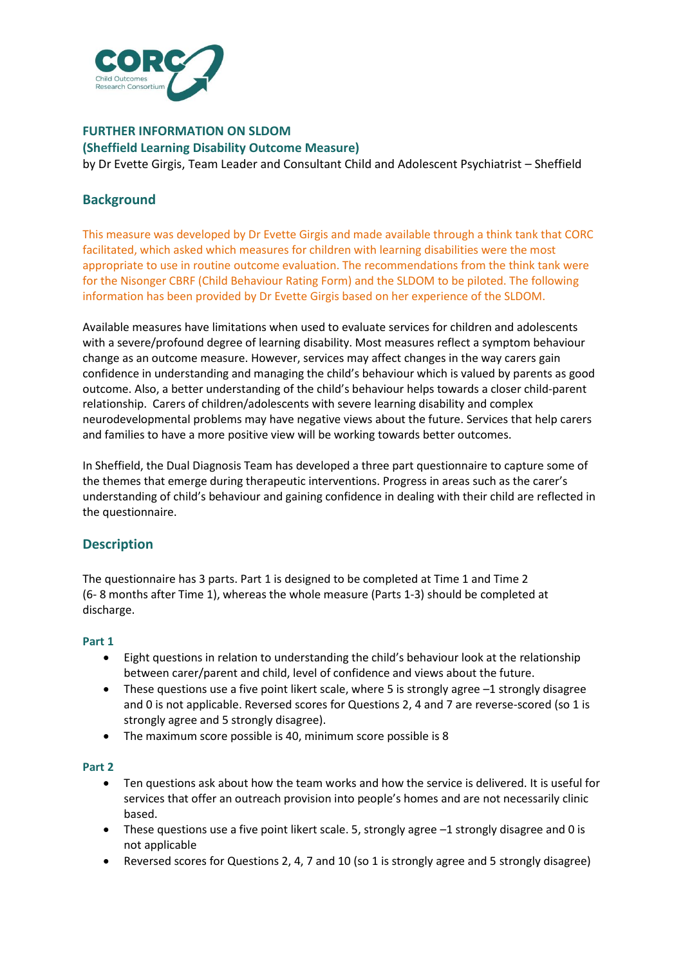

# **FURTHER INFORMATION ON SLDOM (Sheffield Learning Disability Outcome Measure)**

by Dr Evette Girgis, Team Leader and Consultant Child and Adolescent Psychiatrist – Sheffield

# **Background**

This measure was developed by Dr Evette Girgis and made available through a think tank that CORC facilitated, which asked which measures for children with learning disabilities were the most appropriate to use in routine outcome evaluation. The recommendations from the think tank were for the Nisonger CBRF (Child Behaviour Rating Form) and the SLDOM to be piloted. The following information has been provided by Dr Evette Girgis based on her experience of the SLDOM.

Available measures have limitations when used to evaluate services for children and adolescents with a severe/profound degree of learning disability. Most measures reflect a symptom behaviour change as an outcome measure. However, services may affect changes in the way carers gain confidence in understanding and managing the child's behaviour which is valued by parents as good outcome. Also, a better understanding of the child's behaviour helps towards a closer child-parent relationship. Carers of children/adolescents with severe learning disability and complex neurodevelopmental problems may have negative views about the future. Services that help carers and families to have a more positive view will be working towards better outcomes.

In Sheffield, the Dual Diagnosis Team has developed a three part questionnaire to capture some of the themes that emerge during therapeutic interventions. Progress in areas such as the carer's understanding of child's behaviour and gaining confidence in dealing with their child are reflected in the questionnaire.

# **Description**

The questionnaire has 3 parts. Part 1 is designed to be completed at Time 1 and Time 2 (6- 8 months after Time 1), whereas the whole measure (Parts 1-3) should be completed at discharge.

### **Part 1**

- Eight questions in relation to understanding the child's behaviour look at the relationship between carer/parent and child, level of confidence and views about the future.
- These questions use a five point likert scale, where 5 is strongly agree -1 strongly disagree and 0 is not applicable. Reversed scores for Questions 2, 4 and 7 are reverse-scored (so 1 is strongly agree and 5 strongly disagree).
- The maximum score possible is 40, minimum score possible is 8

### **Part 2**

- Ten questions ask about how the team works and how the service is delivered. It is useful for services that offer an outreach provision into people's homes and are not necessarily clinic based.
- These questions use a five point likert scale. 5, strongly agree  $-1$  strongly disagree and 0 is not applicable
- Reversed scores for Questions 2, 4, 7 and 10 (so 1 is strongly agree and 5 strongly disagree)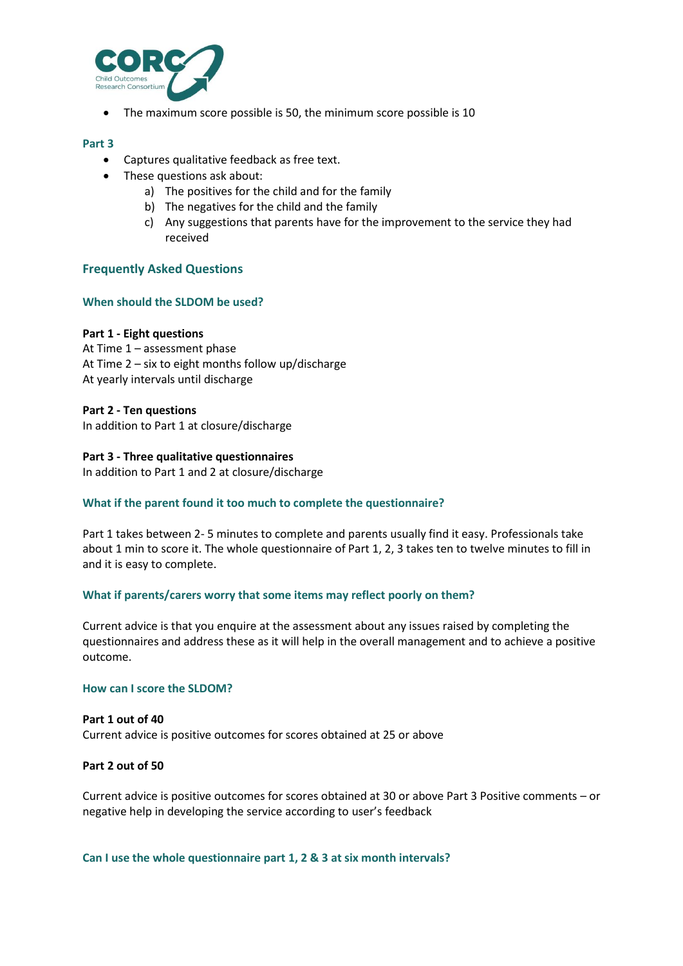

The maximum score possible is 50, the minimum score possible is 10

#### **Part 3**

- Captures qualitative feedback as free text.
- These questions ask about:
	- a) The positives for the child and for the family
	- b) The negatives for the child and the family
	- c) Any suggestions that parents have for the improvement to the service they had received

# **Frequently Asked Questions**

#### **When should the SLDOM be used?**

#### **Part 1 - Eight questions**

At Time 1 – assessment phase At Time 2 – six to eight months follow up/discharge At yearly intervals until discharge

#### **Part 2 - Ten questions**

In addition to Part 1 at closure/discharge

#### **Part 3 - Three qualitative questionnaires**

In addition to Part 1 and 2 at closure/discharge

### **What if the parent found it too much to complete the questionnaire?**

Part 1 takes between 2- 5 minutes to complete and parents usually find it easy. Professionals take about 1 min to score it. The whole questionnaire of Part 1, 2, 3 takes ten to twelve minutes to fill in and it is easy to complete.

### **What if parents/carers worry that some items may reflect poorly on them?**

Current advice is that you enquire at the assessment about any issues raised by completing the questionnaires and address these as it will help in the overall management and to achieve a positive outcome.

#### **How can I score the SLDOM?**

# **Part 1 out of 40** Current advice is positive outcomes for scores obtained at 25 or above

### **Part 2 out of 50**

Current advice is positive outcomes for scores obtained at 30 or above Part 3 Positive comments – or negative help in developing the service according to user's feedback

**Can I use the whole questionnaire part 1, 2 & 3 at six month intervals?**